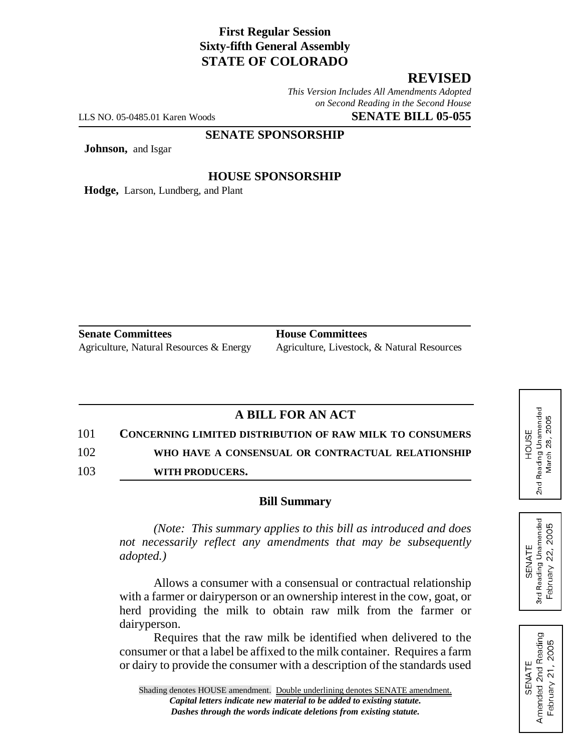### **First Regular Session Sixty-fifth General Assembly STATE OF COLORADO**

# **REVISED**

*This Version Includes All Amendments Adopted on Second Reading in the Second House*

LLS NO. 05-0485.01 Karen Woods **SENATE BILL 05-055**

**SENATE SPONSORSHIP**

**Johnson,** and Isgar

### **HOUSE SPONSORSHIP**

**Hodge,** Larson, Lundberg, and Plant

**Senate Committees House Committees** Agriculture, Natural Resources & Energy Agriculture, Livestock, & Natural Resources

## **A BILL FOR AN ACT**

101 **CONCERNING LIMITED DISTRIBUTION OF RAW MILK TO CONSUMERS** 102 **WHO HAVE A CONSENSUAL OR CONTRACTUAL RELATIONSHIP**

103 **WITH PRODUCERS.**

#### **Bill Summary**

*(Note: This summary applies to this bill as introduced and does not necessarily reflect any amendments that may be subsequently adopted.)*

Allows a consumer with a consensual or contractual relationship with a farmer or dairyperson or an ownership interest in the cow, goat, or herd providing the milk to obtain raw milk from the farmer or dairyperson.

Requires that the raw milk be identified when delivered to the consumer or that a label be affixed to the milk container. Requires a farm or dairy to provide the consumer with a description of the standards used



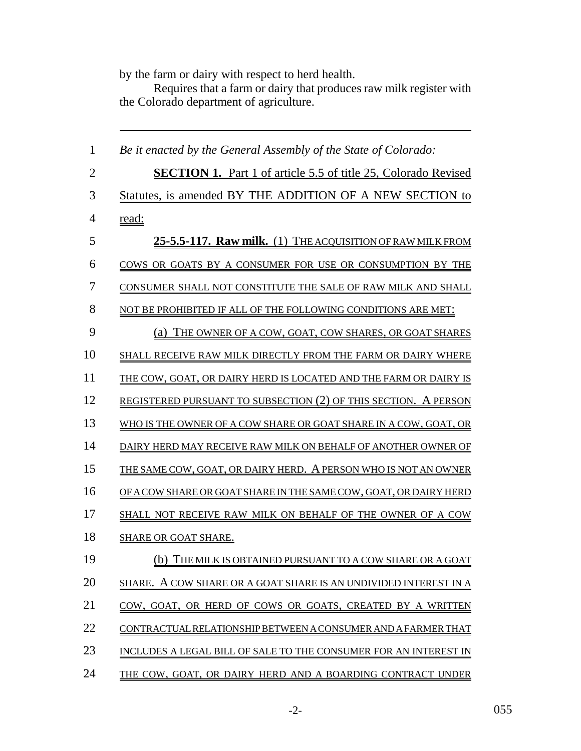by the farm or dairy with respect to herd health.

Requires that a farm or dairy that produces raw milk register with the Colorado department of agriculture.

| $\mathbf{1}$   | Be it enacted by the General Assembly of the State of Colorado:        |
|----------------|------------------------------------------------------------------------|
| $\overline{2}$ | <b>SECTION 1.</b> Part 1 of article 5.5 of title 25, Colorado Revised  |
| 3              | Statutes, is amended BY THE ADDITION OF A NEW SECTION to               |
| $\overline{4}$ | <u>read:</u>                                                           |
| 5              | 25-5.5-117. Raw milk. (1) THE ACQUISITION OF RAW MILK FROM             |
| 6              | COWS OR GOATS BY A CONSUMER FOR USE OR CONSUMPTION BY THE              |
| 7              | CONSUMER SHALL NOT CONSTITUTE THE SALE OF RAW MILK AND SHALL           |
| 8              | NOT BE PROHIBITED IF ALL OF THE FOLLOWING CONDITIONS ARE MET:          |
| 9              | THE OWNER OF A COW, GOAT, COW SHARES, OR GOAT SHARES<br>(a)            |
| 10             | SHALL RECEIVE RAW MILK DIRECTLY FROM THE FARM OR DAIRY WHERE           |
| 11             | THE COW, GOAT, OR DAIRY HERD IS LOCATED AND THE FARM OR DAIRY IS       |
| 12             | <b>REGISTERED PURSUANT TO SUBSECTION (2) OF THIS SECTION. A PERSON</b> |
| 13             | WHO IS THE OWNER OF A COW SHARE OR GOAT SHARE IN A COW, GOAT, OR       |
| 14             | DAIRY HERD MAY RECEIVE RAW MILK ON BEHALF OF ANOTHER OWNER OF          |
| 15             | THE SAME COW, GOAT, OR DAIRY HERD. A PERSON WHO IS NOT AN OWNER        |
| 16             | OF A COW SHARE OR GOAT SHARE IN THE SAME COW, GOAT, OR DAIRY HERD      |
| 17             | SHALL NOT RECEIVE RAW MILK ON BEHALF OF THE OWNER OF A COW             |
| 18             | <b>SHARE OR GOAT SHARE.</b>                                            |
| 19             | (b) THE MILK IS OBTAINED PURSUANT TO A COW SHARE OR A GOAT             |
| 20             | A COW SHARE OR A GOAT SHARE IS AN UNDIVIDED INTEREST IN A<br>SHARE.    |
| 21             | COW, GOAT, OR HERD OF COWS OR GOATS, CREATED BY A WRITTEN              |
| 22             | CONTRACTUAL RELATIONSHIP BETWEEN A CONSUMER AND A FARMER THAT          |
| 23             | INCLUDES A LEGAL BILL OF SALE TO THE CONSUMER FOR AN INTEREST IN       |
| 24             | THE COW, GOAT, OR DAIRY HERD AND A BOARDING CONTRACT UNDER             |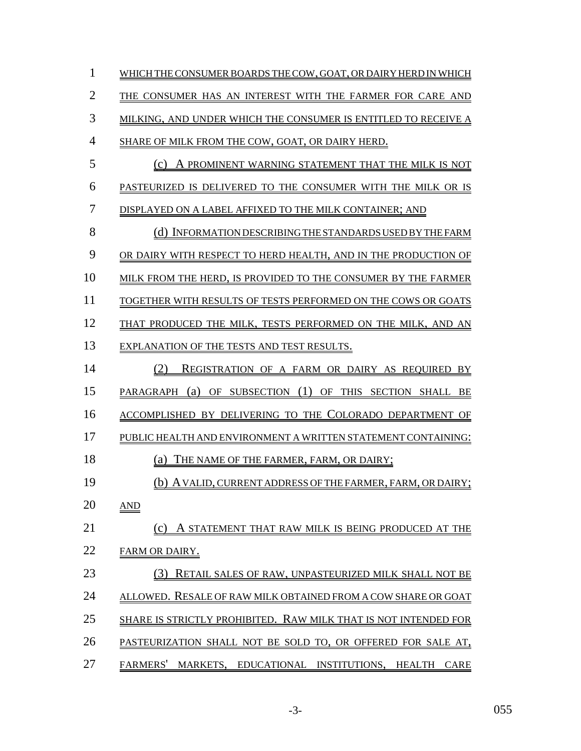| 1  | WHICH THE CONSUMER BOARDS THE COW, GOAT, OR DAIRY HERD IN WHICH             |
|----|-----------------------------------------------------------------------------|
| 2  | THE CONSUMER HAS AN INTEREST WITH THE FARMER FOR CARE AND                   |
| 3  | MILKING, AND UNDER WHICH THE CONSUMER IS ENTITLED TO RECEIVE A              |
| 4  | SHARE OF MILK FROM THE COW, GOAT, OR DAIRY HERD.                            |
| 5  | (c) A PROMINENT WARNING STATEMENT THAT THE MILK IS NOT                      |
| 6  | PASTEURIZED IS DELIVERED TO THE CONSUMER WITH THE MILK OR IS                |
| 7  | DISPLAYED ON A LABEL AFFIXED TO THE MILK CONTAINER; AND                     |
| 8  | (d) INFORMATION DESCRIBING THE STANDARDS USED BY THE FARM                   |
| 9  | OR DAIRY WITH RESPECT TO HERD HEALTH, AND IN THE PRODUCTION OF              |
| 10 | MILK FROM THE HERD, IS PROVIDED TO THE CONSUMER BY THE FARMER               |
| 11 | TOGETHER WITH RESULTS OF TESTS PERFORMED ON THE COWS OR GOATS               |
| 12 | THAT PRODUCED THE MILK, TESTS PERFORMED ON THE MILK, AND AN                 |
| 13 | EXPLANATION OF THE TESTS AND TEST RESULTS.                                  |
| 14 | (2)<br>REGISTRATION OF A FARM OR DAIRY AS REQUIRED BY                       |
| 15 | PARAGRAPH (a) OF SUBSECTION (1) OF THIS SECTION SHALL BE                    |
| 16 | ACCOMPLISHED BY DELIVERING TO THE COLORADO DEPARTMENT OF                    |
| 17 | PUBLIC HEALTH AND ENVIRONMENT A WRITTEN STATEMENT CONTAINING:               |
| 18 | THE NAME OF THE FARMER, FARM, OR DAIRY;<br>(a)                              |
| 19 | (b) A VALID, CURRENT ADDRESS OF THE FARMER, FARM, OR DAIRY;                 |
| 20 | <u>AND</u>                                                                  |
| 21 | A STATEMENT THAT RAW MILK IS BEING PRODUCED AT THE<br>(c)                   |
| 22 | FARM OR DAIRY.                                                              |
| 23 | RETAIL SALES OF RAW, UNPASTEURIZED MILK SHALL NOT BE                        |
| 24 | ALLOWED. RESALE OF RAW MILK OBTAINED FROM A COW SHARE OR GOAT               |
| 25 | SHARE IS STRICTLY PROHIBITED. RAW MILK THAT IS NOT INTENDED FOR             |
| 26 | PASTEURIZATION SHALL NOT BE SOLD TO, OR OFFERED FOR SALE AT,                |
| 27 | <b>FARMERS'</b><br>MARKETS, EDUCATIONAL INSTITUTIONS, HEALTH<br><b>CARE</b> |

-3- 055